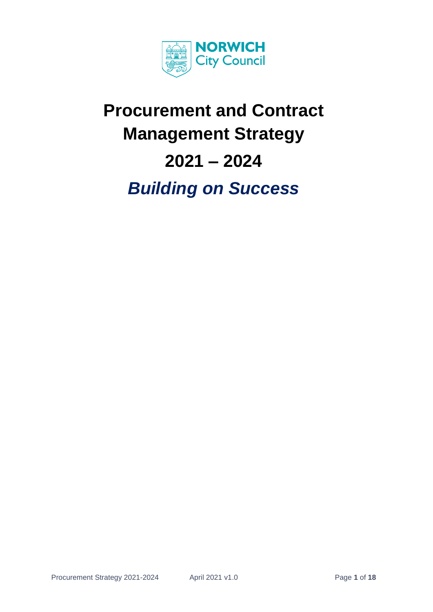

# **Procurement and Contract Management Strategy 2021 – 2024**  *Building on Success*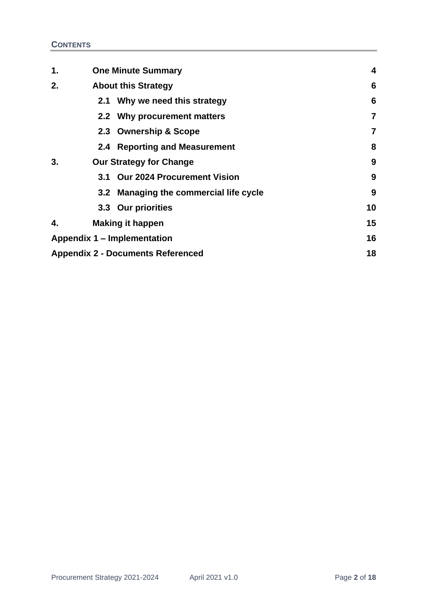| 1.                                       | <b>One Minute Summary</b>              | 4  |
|------------------------------------------|----------------------------------------|----|
| 2.                                       | <b>About this Strategy</b>             | 6  |
|                                          | 2.1 Why we need this strategy          | 6  |
|                                          | 2.2 Why procurement matters            | 7  |
|                                          | 2.3 Ownership & Scope                  | 7  |
|                                          | 2.4 Reporting and Measurement          | 8  |
| 3.                                       | <b>Our Strategy for Change</b>         | 9  |
|                                          | 3.1 Our 2024 Procurement Vision        | 9  |
|                                          | 3.2 Managing the commercial life cycle | 9  |
|                                          | 3.3 Our priorities                     | 10 |
| 4.                                       | <b>Making it happen</b>                | 15 |
| Appendix 1 - Implementation              |                                        | 16 |
| <b>Appendix 2 - Documents Referenced</b> |                                        | 18 |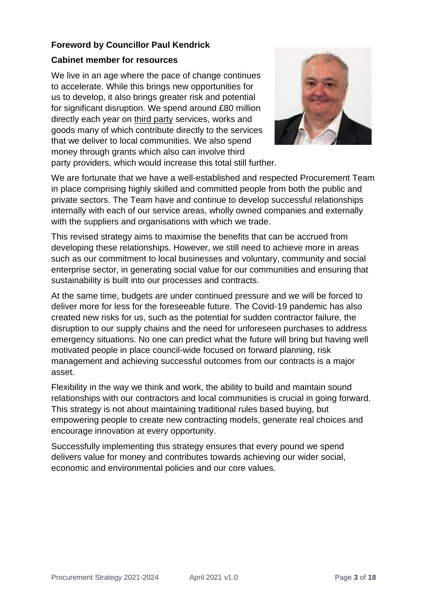# **Foreword by Councillor Paul Kendrick**

## **Cabinet member for resources**

We live in an age where the pace of change continues to accelerate. While this brings new opportunities for us to develop, it also brings greater risk and potential for significant disruption. We spend around £80 million directly each year on third party services, works and goods many of which contribute directly to the services that we deliver to local communities. We also spend money through grants which also can involve third party providers, which would increase this total still further.



We are fortunate that we have a well-established and respected Procurement Team in place comprising highly skilled and committed people from both the public and private sectors. The Team have and continue to develop successful relationships internally with each of our service areas, wholly owned companies and externally with the suppliers and organisations with which we trade.

This revised strategy aims to maximise the benefits that can be accrued from developing these relationships. However, we still need to achieve more in areas such as our commitment to local businesses and voluntary, community and social enterprise sector, in generating social value for our communities and ensuring that sustainability is built into our processes and contracts.

At the same time, budgets are under continued pressure and we will be forced to deliver more for less for the foreseeable future. The Covid-19 pandemic has also created new risks for us, such as the potential for sudden contractor failure, the disruption to our supply chains and the need for unforeseen purchases to address emergency situations. No one can predict what the future will bring but having well motivated people in place council-wide focused on forward planning, risk management and achieving successful outcomes from our contracts is a major asset.

Flexibility in the way we think and work, the ability to build and maintain sound relationships with our contractors and local communities is crucial in going forward. This strategy is not about maintaining traditional rules based buying, but empowering people to create new contracting models, generate real choices and encourage innovation at every opportunity.

Successfully implementing this strategy ensures that every pound we spend delivers value for money and contributes towards achieving our wider social, economic and environmental policies and our core values.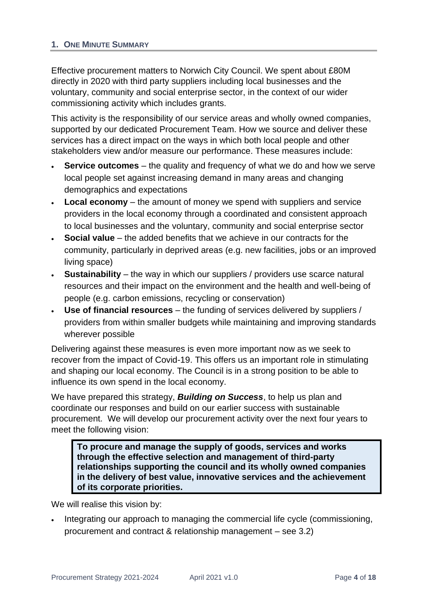## <span id="page-3-0"></span>**1. ONE MINUTE SUMMARY**

Effective procurement matters to Norwich City Council. We spent about £80M directly in 2020 with third party suppliers including local businesses and the voluntary, community and social enterprise sector, in the context of our wider commissioning activity which includes grants.

This activity is the responsibility of our service areas and wholly owned companies, supported by our dedicated Procurement Team. How we source and deliver these services has a direct impact on the ways in which both local people and other stakeholders view and/or measure our performance. These measures include:

- **Service outcomes** the quality and frequency of what we do and how we serve local people set against increasing demand in many areas and changing demographics and expectations
- **Local economy** the amount of money we spend with suppliers and service providers in the local economy through a coordinated and consistent approach to local businesses and the voluntary, community and social enterprise sector
- **Social value** the added benefits that we achieve in our contracts for the community, particularly in deprived areas (e.g. new facilities, jobs or an improved living space)
- **Sustainability** the way in which our suppliers / providers use scarce natural resources and their impact on the environment and the health and well-being of people (e.g. carbon emissions, recycling or conservation)
- **Use of financial resources** the funding of services delivered by suppliers / providers from within smaller budgets while maintaining and improving standards wherever possible

Delivering against these measures is even more important now as we seek to recover from the impact of Covid-19. This offers us an important role in stimulating and shaping our local economy. The Council is in a strong position to be able to influence its own spend in the local economy.

We have prepared this strategy, *Building on Success*, to help us plan and coordinate our responses and build on our earlier success with sustainable procurement. We will develop our procurement activity over the next four years to meet the following vision:

**To procure and manage the supply of goods, services and works through the effective selection and management of third-party relationships supporting the council and its wholly owned companies in the delivery of best value, innovative services and the achievement of its corporate priorities.**

We will realise this vision by:

• Integrating our approach to managing the commercial life cycle (commissioning, procurement and contract & relationship management – see 3.2)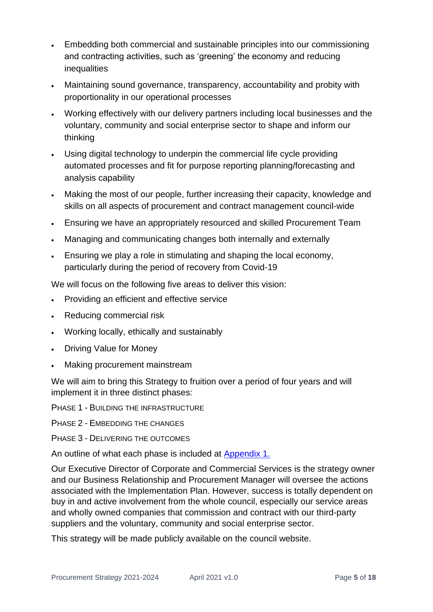- Embedding both commercial and sustainable principles into our commissioning and contracting activities, such as 'greening' the economy and reducing inequalities
- Maintaining sound governance, transparency, accountability and probity with proportionality in our operational processes
- Working effectively with our delivery partners including local businesses and the voluntary, community and social enterprise sector to shape and inform our thinking
- Using digital technology to underpin the commercial life cycle providing automated processes and fit for purpose reporting planning/forecasting and analysis capability
- Making the most of our people, further increasing their capacity, knowledge and skills on all aspects of procurement and contract management council-wide
- Ensuring we have an appropriately resourced and skilled Procurement Team
- Managing and communicating changes both internally and externally
- Ensuring we play a role in stimulating and shaping the local economy, particularly during the period of recovery from Covid-19

We will focus on the following five areas to deliver this vision:

- Providing an efficient and effective service
- Reducing commercial risk
- Working locally, ethically and sustainably
- Driving Value for Money
- Making procurement mainstream

We will aim to bring this Strategy to fruition over a period of four years and will implement it in three distinct phases:

PHASE 1 - BUILDING THE INFRASTRUCTURE

PHASE 2 - EMBEDDING THE CHANGES

PHASE 3 - DELIVERING THE OUTCOMES

An outline of what each phase is included at [Appendix 1.](#page-15-0)

Our Executive Director of Corporate and Commercial Services is the strategy owner and our Business Relationship and Procurement Manager will oversee the actions associated with the Implementation Plan. However, success is totally dependent on buy in and active involvement from the whole council, especially our service areas and wholly owned companies that commission and contract with our third-party suppliers and the voluntary, community and social enterprise sector.

This strategy will be made publicly available on the council website.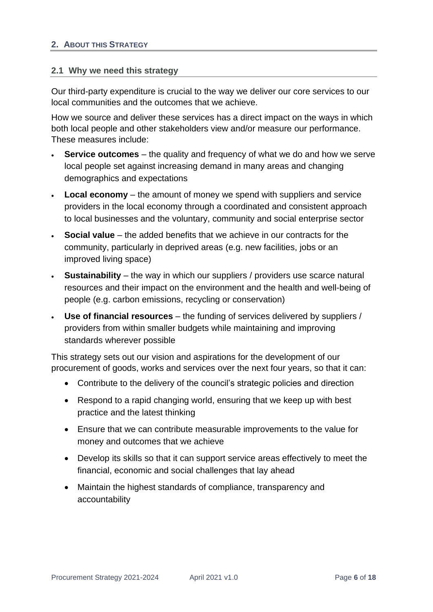#### <span id="page-5-1"></span><span id="page-5-0"></span>**2.1 Why we need this strategy**

Our third-party expenditure is crucial to the way we deliver our core services to our local communities and the outcomes that we achieve.

How we source and deliver these services has a direct impact on the ways in which both local people and other stakeholders view and/or measure our performance. These measures include:

- **Service outcomes** the quality and frequency of what we do and how we serve local people set against increasing demand in many areas and changing demographics and expectations
- **Local economy** the amount of money we spend with suppliers and service providers in the local economy through a coordinated and consistent approach to local businesses and the voluntary, community and social enterprise sector
- **Social value** the added benefits that we achieve in our contracts for the community, particularly in deprived areas (e.g. new facilities, jobs or an improved living space)
- **Sustainability** the way in which our suppliers / providers use scarce natural resources and their impact on the environment and the health and well-being of people (e.g. carbon emissions, recycling or conservation)
- **Use of financial resources** the funding of services delivered by suppliers / providers from within smaller budgets while maintaining and improving standards wherever possible

This strategy sets out our vision and aspirations for the development of our procurement of goods, works and services over the next four years, so that it can:

- Contribute to the delivery of the council's strategic policies and direction
- Respond to a rapid changing world, ensuring that we keep up with best practice and the latest thinking
- Ensure that we can contribute measurable improvements to the value for money and outcomes that we achieve
- Develop its skills so that it can support service areas effectively to meet the financial, economic and social challenges that lay ahead
- Maintain the highest standards of compliance, transparency and accountability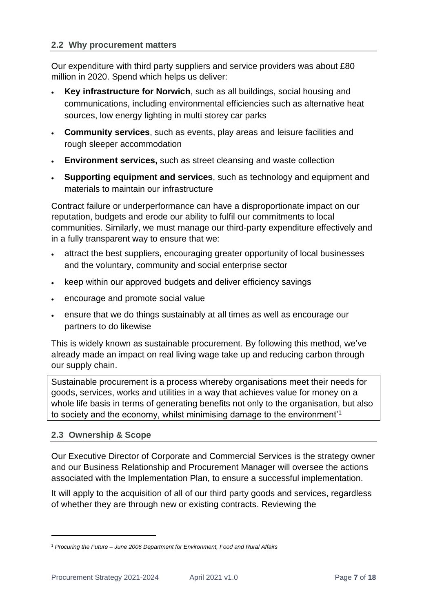## <span id="page-6-0"></span>**2.2 Why procurement matters**

Our expenditure with third party suppliers and service providers was about £80 million in 2020. Spend which helps us deliver:

- **Key infrastructure for Norwich**, such as all buildings, social housing and communications, including environmental efficiencies such as alternative heat sources, low energy lighting in multi storey car parks
- **Community services**, such as events, play areas and leisure facilities and rough sleeper accommodation
- **Environment services,** such as street cleansing and waste collection
- **Supporting equipment and services**, such as technology and equipment and materials to maintain our infrastructure

Contract failure or underperformance can have a disproportionate impact on our reputation, budgets and erode our ability to fulfil our commitments to local communities. Similarly, we must manage our third-party expenditure effectively and in a fully transparent way to ensure that we:

- attract the best suppliers, encouraging greater opportunity of local businesses and the voluntary, community and social enterprise sector
- keep within our approved budgets and deliver efficiency savings
- encourage and promote social value
- ensure that we do things sustainably at all times as well as encourage our partners to do likewise

This is widely known as sustainable procurement. By following this method, we've already made an impact on real living wage take up and reducing carbon through our supply chain.

Sustainable procurement is a process whereby organisations meet their needs for goods, services, works and utilities in a way that achieves value for money on a whole life basis in terms of generating benefits not only to the organisation, but also to society and the economy, whilst minimising damage to the environment'<sup>1</sup>

## <span id="page-6-1"></span>**2.3 Ownership & Scope**

Our Executive Director of Corporate and Commercial Services is the strategy owner and our Business Relationship and Procurement Manager will oversee the actions associated with the Implementation Plan, to ensure a successful implementation.

It will apply to the acquisition of all of our third party goods and services, regardless of whether they are through new or existing contracts. Reviewing the

<sup>1</sup> *Procuring the Future – June 2006 Department for Environment, Food and Rural Affairs*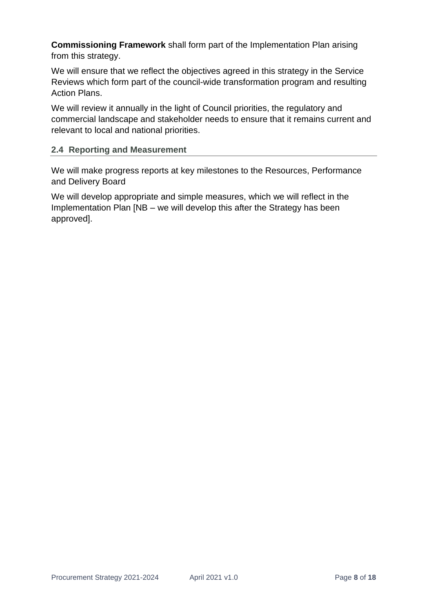**Commissioning Framework** shall form part of the Implementation Plan arising from this strategy.

We will ensure that we reflect the objectives agreed in this strategy in the Service Reviews which form part of the council-wide transformation program and resulting Action Plans.

We will review it annually in the light of Council priorities, the regulatory and commercial landscape and stakeholder needs to ensure that it remains current and relevant to local and national priorities.

# <span id="page-7-0"></span>**2.4 Reporting and Measurement**

We will make progress reports at key milestones to the Resources, Performance and Delivery Board

We will develop appropriate and simple measures, which we will reflect in the Implementation Plan [NB – we will develop this after the Strategy has been approved].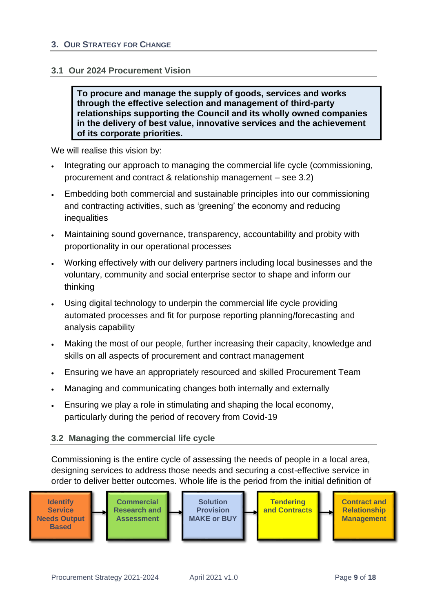#### <span id="page-8-1"></span><span id="page-8-0"></span>**3.1 Our 2024 Procurement Vision**

**To procure and manage the supply of goods, services and works through the effective selection and management of third-party relationships supporting the Council and its wholly owned companies in the delivery of best value, innovative services and the achievement of its corporate priorities.**

We will realise this vision by:

- Integrating our approach to managing the commercial life cycle (commissioning, procurement and contract & relationship management – see 3.2)
- Embedding both commercial and sustainable principles into our commissioning and contracting activities, such as 'greening' the economy and reducing inequalities
- Maintaining sound governance, transparency, accountability and probity with proportionality in our operational processes
- Working effectively with our delivery partners including local businesses and the voluntary, community and social enterprise sector to shape and inform our thinking
- Using digital technology to underpin the commercial life cycle providing automated processes and fit for purpose reporting planning/forecasting and analysis capability
- Making the most of our people, further increasing their capacity, knowledge and skills on all aspects of procurement and contract management
- Ensuring we have an appropriately resourced and skilled Procurement Team
- Managing and communicating changes both internally and externally
- Ensuring we play a role in stimulating and shaping the local economy, particularly during the period of recovery from Covid-19

## <span id="page-8-2"></span>**3.2 Managing the commercial life cycle**

Commissioning is the entire cycle of assessing the needs of people in a local area, designing services to address those needs and securing a cost-effective service in order to deliver better outcomes. Whole life is the period from the initial definition of

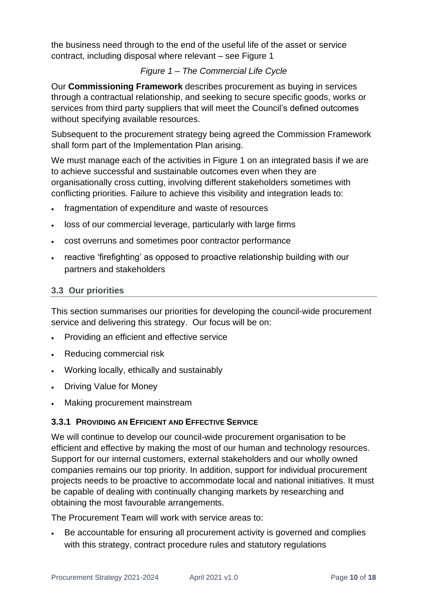the business need through to the end of the useful life of the asset or service contract, including disposal where relevant – see Figure 1

# *Figure 1 – The Commercial Life Cycle*

Our **Commissioning Framework** describes procurement as buying in services through a contractual relationship, and seeking to secure specific goods, works or services from third party suppliers that will meet the Council's defined outcomes without specifying available resources.

Subsequent to the procurement strategy being agreed the Commission Framework shall form part of the Implementation Plan arising.

We must manage each of the activities in Figure 1 on an integrated basis if we are to achieve successful and sustainable outcomes even when they are organisationally cross cutting, involving different stakeholders sometimes with conflicting priorities. Failure to achieve this visibility and integration leads to:

- fragmentation of expenditure and waste of resources
- loss of our commercial leverage, particularly with large firms
- cost overruns and sometimes poor contractor performance
- reactive 'firefighting' as opposed to proactive relationship building with our partners and stakeholders

# <span id="page-9-0"></span>**3.3 Our priorities**

This section summarises our priorities for developing the council-wide procurement service and delivering this strategy. Our focus will be on:

- Providing an efficient and effective service
- Reducing commercial risk
- Working locally, ethically and sustainably
- Driving Value for Money
- Making procurement mainstream

# **3.3.1 PROVIDING AN EFFICIENT AND EFFECTIVE SERVICE**

We will continue to develop our council-wide procurement organisation to be efficient and effective by making the most of our human and technology resources. Support for our internal customers, external stakeholders and our wholly owned companies remains our top priority. In addition, support for individual procurement projects needs to be proactive to accommodate local and national initiatives. It must be capable of dealing with continually changing markets by researching and obtaining the most favourable arrangements.

The Procurement Team will work with service areas to:

• Be accountable for ensuring all procurement activity is governed and complies with this strategy, contract procedure rules and statutory regulations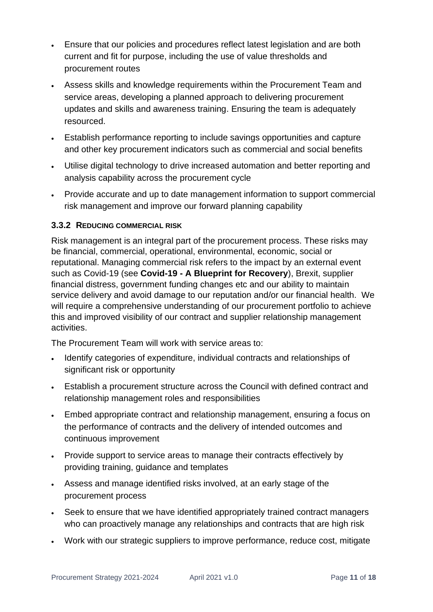- Ensure that our policies and procedures reflect latest legislation and are both current and fit for purpose, including the use of value thresholds and procurement routes
- Assess skills and knowledge requirements within the Procurement Team and service areas, developing a planned approach to delivering procurement updates and skills and awareness training. Ensuring the team is adequately resourced.
- Establish performance reporting to include savings opportunities and capture and other key procurement indicators such as commercial and social benefits
- Utilise digital technology to drive increased automation and better reporting and analysis capability across the procurement cycle
- Provide accurate and up to date management information to support commercial risk management and improve our forward planning capability

# **3.3.2 REDUCING COMMERCIAL RISK**

Risk management is an integral part of the procurement process. These risks may be financial, commercial, operational, environmental, economic, social or reputational. Managing commercial risk refers to the impact by an external event such as Covid-19 (see **Covid-19 - A Blueprint for Recovery**), Brexit, supplier financial distress, government funding changes etc and our ability to maintain service delivery and avoid damage to our reputation and/or our financial health. We will require a comprehensive understanding of our procurement portfolio to achieve this and improved visibility of our contract and supplier relationship management activities.

The Procurement Team will work with service areas to:

- Identify categories of expenditure, individual contracts and relationships of significant risk or opportunity
- Establish a procurement structure across the Council with defined contract and relationship management roles and responsibilities
- Embed appropriate contract and relationship management, ensuring a focus on the performance of contracts and the delivery of intended outcomes and continuous improvement
- Provide support to service areas to manage their contracts effectively by providing training, guidance and templates
- Assess and manage identified risks involved, at an early stage of the procurement process
- Seek to ensure that we have identified appropriately trained contract managers who can proactively manage any relationships and contracts that are high risk
- Work with our strategic suppliers to improve performance, reduce cost, mitigate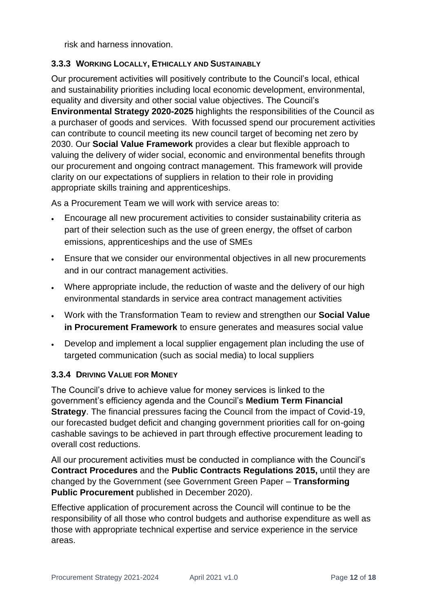risk and harness innovation.

# **3.3.3 WORKING LOCALLY, ETHICALLY AND SUSTAINABLY**

Our procurement activities will positively contribute to the Council's local, ethical and sustainability priorities including local economic development, environmental, equality and diversity and other social value objectives. The Council's **Environmental Strategy 2020-2025** highlights the responsibilities of the Council as a purchaser of goods and services. With focussed spend our procurement activities can contribute to council meeting its new council target of becoming net zero by 2030. Our **Social Value Framework** provides a clear but flexible approach to valuing the delivery of wider social, economic and environmental benefits through our procurement and ongoing contract management. This framework will provide clarity on our expectations of suppliers in relation to their role in providing appropriate skills training and apprenticeships.

As a Procurement Team we will work with service areas to:

- Encourage all new procurement activities to consider sustainability criteria as part of their selection such as the use of green energy, the offset of carbon emissions, apprenticeships and the use of SMEs
- Ensure that we consider our environmental objectives in all new procurements and in our contract management activities.
- Where appropriate include, the reduction of waste and the delivery of our high environmental standards in service area contract management activities
- Work with the Transformation Team to review and strengthen our **Social Value in Procurement Framework** to ensure generates and measures social value
- Develop and implement a local supplier engagement plan including the use of targeted communication (such as social media) to local suppliers

# **3.3.4 DRIVING VALUE FOR MONEY**

The Council's drive to achieve value for money services is linked to the government's efficiency agenda and the Council's **Medium Term Financial Strategy**. The financial pressures facing the Council from the impact of Covid-19, our forecasted budget deficit and changing government priorities call for on-going cashable savings to be achieved in part through effective procurement leading to overall cost reductions.

All our procurement activities must be conducted in compliance with the Council's **Contract Procedures** and the **[Public Contracts Regulations 2015,](http://www.legislation.gov.uk/uksi/2015/102/pdfs/uksi_20150102_en.pdf)** until they are changed by the Government (see Government Green Paper – **Transforming Public Procurement** published in December 2020).

Effective application of procurement across the Council will continue to be the responsibility of all those who control budgets and authorise expenditure as well as those with appropriate technical expertise and service experience in the service areas.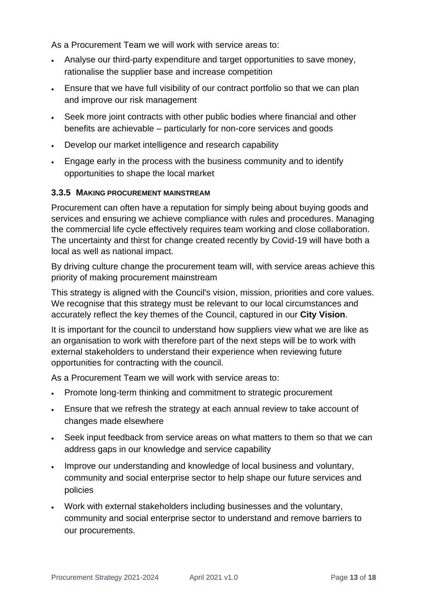As a Procurement Team we will work with service areas to:

- Analyse our third-party expenditure and target opportunities to save money, rationalise the supplier base and increase competition
- Ensure that we have full visibility of our contract portfolio so that we can plan and improve our risk management
- Seek more joint contracts with other public bodies where financial and other benefits are achievable – particularly for non-core services and goods
- Develop our market intelligence and research capability
- Engage early in the process with the business community and to identify opportunities to shape the local market

## **3.3.5 MAKING PROCUREMENT MAINSTREAM**

Procurement can often have a reputation for simply being about buying goods and services and ensuring we achieve compliance with rules and procedures. Managing the commercial life cycle effectively requires team working and close collaboration. The uncertainty and thirst for change created recently by Covid-19 will have both a local as well as national impact.

By driving culture change the procurement team will, with service areas achieve this priority of making procurement mainstream

This strategy is aligned with the Council's vision, mission, priorities and core values. We recognise that this strategy must be relevant to our local circumstances and accurately reflect the key themes of the Council, captured in our **City Vision**.

It is important for the council to understand how suppliers view what we are like as an organisation to work with therefore part of the next steps will be to work with external stakeholders to understand their experience when reviewing future opportunities for contracting with the council.

As a Procurement Team we will work with service areas to:

- Promote long-term thinking and commitment to strategic procurement
- Ensure that we refresh the strategy at each annual review to take account of changes made elsewhere
- Seek input feedback from service areas on what matters to them so that we can address gaps in our knowledge and service capability
- Improve our understanding and knowledge of local business and voluntary, community and social enterprise sector to help shape our future services and policies
- Work with external stakeholders including businesses and the voluntary, community and social enterprise sector to understand and remove barriers to our procurements.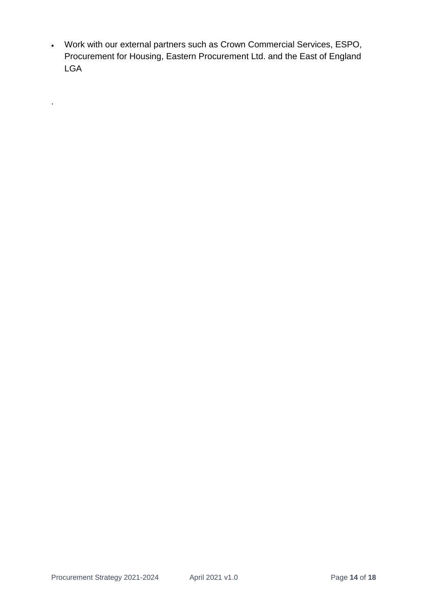• Work with our external partners such as Crown Commercial Services, ESPO, Procurement for Housing, Eastern Procurement Ltd. and the East of England LGA

.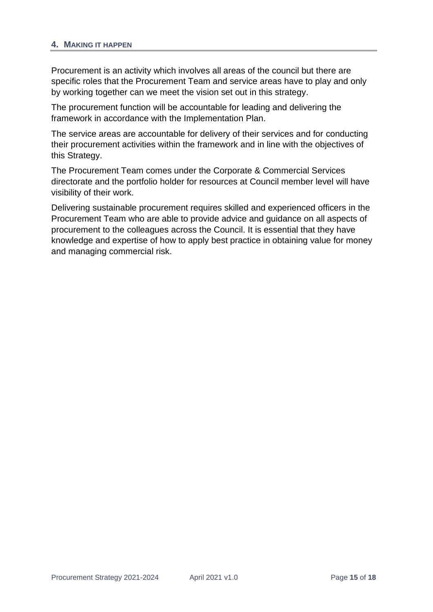#### <span id="page-14-0"></span>**4. MAKING IT HAPPEN**

Procurement is an activity which involves all areas of the council but there are specific roles that the Procurement Team and service areas have to play and only by working together can we meet the vision set out in this strategy.

The procurement function will be accountable for leading and delivering the framework in accordance with the Implementation Plan.

The service areas are accountable for delivery of their services and for conducting their procurement activities within the framework and in line with the objectives of this Strategy.

The Procurement Team comes under the Corporate & Commercial Services directorate and the portfolio holder for resources at Council member level will have visibility of their work.

Delivering sustainable procurement requires skilled and experienced officers in the Procurement Team who are able to provide advice and guidance on all aspects of procurement to the colleagues across the Council. It is essential that they have knowledge and expertise of how to apply best practice in obtaining value for money and managing commercial risk.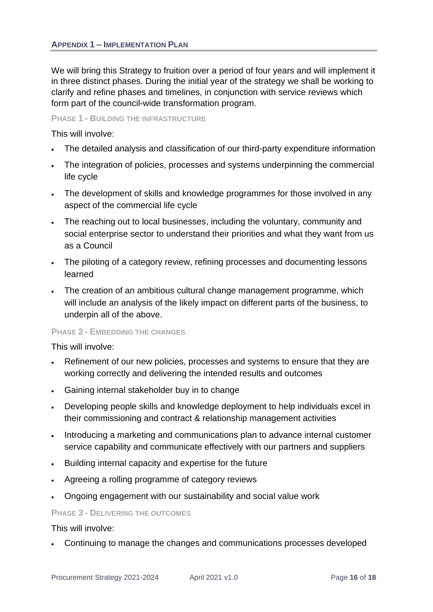<span id="page-15-0"></span>We will bring this Strategy to fruition over a period of four years and will implement it in three distinct phases. During the initial year of the strategy we shall be working to clarify and refine phases and timelines, in conjunction with service reviews which form part of the council-wide transformation program.

#### **PHASE 1 - BUILDING THE INFRASTRUCTURE**

This will involve:

- The detailed analysis and classification of our third-party expenditure information
- The integration of policies, processes and systems underpinning the commercial life cycle
- The development of skills and knowledge programmes for those involved in any aspect of the commercial life cycle
- The reaching out to local businesses, including the voluntary, community and social enterprise sector to understand their priorities and what they want from us as a Council
- The piloting of a category review, refining processes and documenting lessons learned
- The creation of an ambitious cultural change management programme, which will include an analysis of the likely impact on different parts of the business, to underpin all of the above.

#### **PHASE 2 - EMBEDDING THE CHANGES**

This will involve:

- Refinement of our new policies, processes and systems to ensure that they are working correctly and delivering the intended results and outcomes
- Gaining internal stakeholder buy in to change
- Developing people skills and knowledge deployment to help individuals excel in their commissioning and contract & relationship management activities
- Introducing a marketing and communications plan to advance internal customer service capability and communicate effectively with our partners and suppliers
- Building internal capacity and expertise for the future
- Agreeing a rolling programme of category reviews
- Ongoing engagement with our sustainability and social value work

#### **PHASE 3 - DELIVERING THE OUTCOMES**

This will involve:

• Continuing to manage the changes and communications processes developed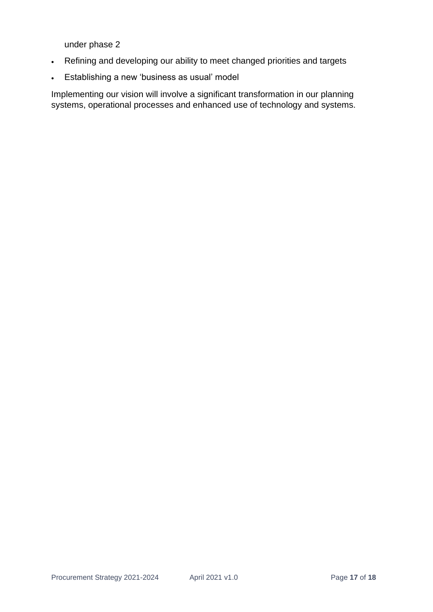under phase 2

- Refining and developing our ability to meet changed priorities and targets
- Establishing a new 'business as usual' model

Implementing our vision will involve a significant transformation in our planning systems, operational processes and enhanced use of technology and systems.